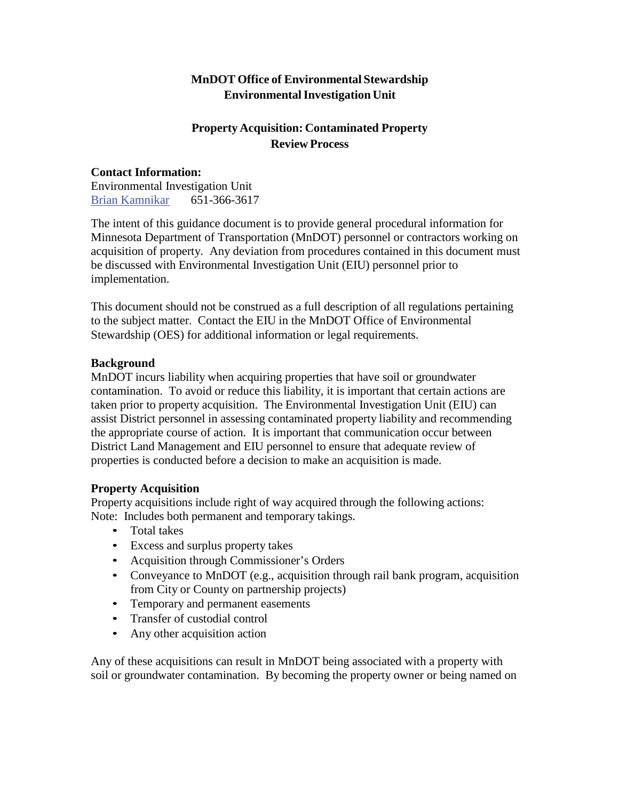## **MnDOT Office of Environmental Stewardship EnvironmentalInvestigation Unit**

# **Property Acquisition: Contaminated Property Review Process**

#### **Contact Information:** Environmental Investigation Unit Brian Kamnikar 651-366-3617

The intent of this guidance document is to provide general procedural information for Minnesota Department of Transportation (MnDOT) personnel or contractors working on acquisition of property. Any deviation from procedures contained in this document must be discussed with Environmental Investigation Unit (EIU) personnel prior to implementation.

This document should not be construed as a full description of all regulations pertaining to the subject matter. Contact the EIU in the MnDOT Office of Environmental Stewardship (OES) for additional information or legal requirements.

#### **Background**

MnDOT incurs liability when acquiring properties that have soil or groundwater contamination. To avoid or reduce this liability, it is important that certain actions are taken prior to property acquisition. The Environmental Investigation Unit (EIU) can assist District personnel in assessing contaminated property liability and recommending the appropriate course of action. It is important that communication occur between District Land Management and EIU personnel to ensure that adequate review of properties is conducted before a decision to make an acquisition is made.

#### **Property Acquisition**

Property acquisitions include right of way acquired through the following actions: Note: Includes both permanent and temporary takings.

- Total takes
- Excess and surplus property takes
- Acquisition through Commissioner's Orders
- Conveyance to MnDOT (e.g., acquisition through rail bank program, acquisition from City or County on partnership projects)
- Temporary and permanent easements
- Transfer of custodial control
- Any other acquisition action

Any of these acquisitions can result in MnDOT being associated with a property with soil or groundwater contamination. By becoming the property owner or being named on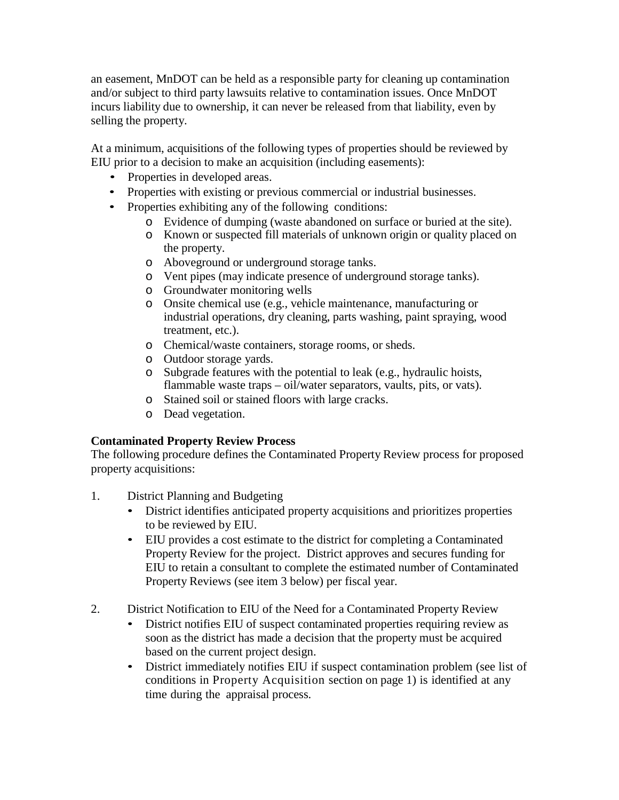an easement, MnDOT can be held as a responsible party for cleaning up contamination and/or subject to third party lawsuits relative to contamination issues. Once MnDOT incurs liability due to ownership, it can never be released from that liability, even by selling the property.

At a minimum, acquisitions of the following types of properties should be reviewed by EIU prior to a decision to make an acquisition (including easements):

- Properties in developed areas.
- Properties with existing or previous commercial or industrial businesses.
- Properties exhibiting any of the following conditions:
	- o Evidence of dumping (waste abandoned on surface or buried at the site).
	- o Known or suspected fill materials of unknown origin or quality placed on the property.
	- o Aboveground or underground storage tanks.
	- o Vent pipes (may indicate presence of underground storage tanks).
	- o Groundwater monitoring wells
	- o Onsite chemical use (e.g., vehicle maintenance, manufacturing or industrial operations, dry cleaning, parts washing, paint spraying, wood treatment, etc.).
	- o Chemical/waste containers, storage rooms, or sheds.
	- o Outdoor storage yards.
	- o Subgrade features with the potential to leak (e.g., hydraulic hoists, flammable waste traps – oil/water separators, vaults, pits, or vats).
	- o Stained soil or stained floors with large cracks.
	- o Dead vegetation.

#### **Contaminated Property Review Process**

The following procedure defines the Contaminated Property Review process for proposed property acquisitions:

- 1. District Planning and Budgeting
	- District identifies anticipated property acquisitions and prioritizes properties to be reviewed by EIU.
	- EIU provides a cost estimate to the district for completing a Contaminated Property Review for the project. District approves and secures funding for EIU to retain a consultant to complete the estimated number of Contaminated Property Reviews (see item 3 below) per fiscal year.
- 2. District Notification to EIU of the Need for a Contaminated Property Review
	- District notifies EIU of suspect contaminated properties requiring review as soon as the district has made a decision that the property must be acquired based on the current project design.
	- District immediately notifies EIU if suspect contamination problem (see list of conditions in Property Acquisition section on page 1) is identified at any time during the appraisal process.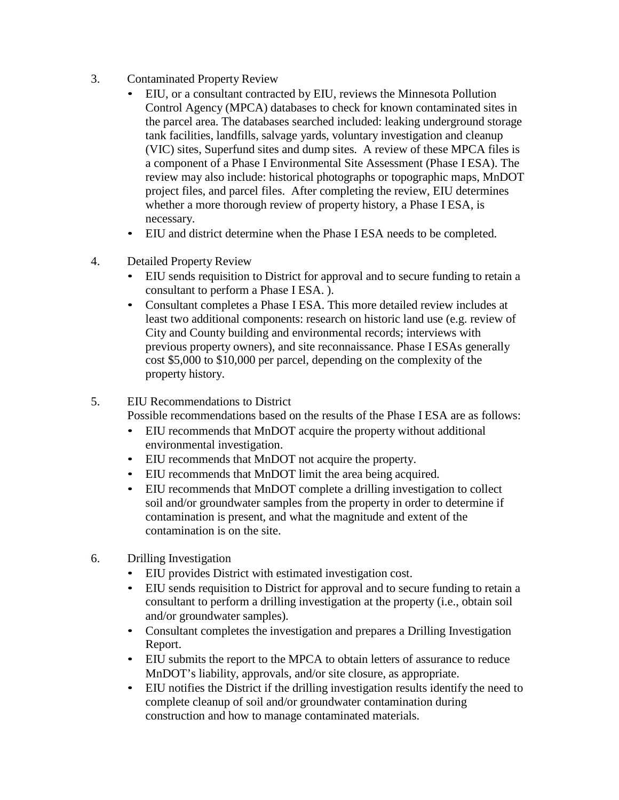- 3. Contaminated Property Review
	- EIU, or a consultant contracted by EIU, reviews the Minnesota Pollution Control Agency (MPCA) databases to check for known contaminated sites in the parcel area. The databases searched included: leaking underground storage tank facilities, landfills, salvage yards, voluntary investigation and cleanup (VIC) sites, Superfund sites and dump sites. A review of these MPCA files is a component of a Phase I Environmental Site Assessment (Phase I ESA). The review may also include: historical photographs or topographic maps, MnDOT project files, and parcel files. After completing the review, EIU determines whether a more thorough review of property history, a Phase I ESA, is necessary.
	- EIU and district determine when the Phase I ESA needs to be completed.
- 4. Detailed Property Review
	- EIU sends requisition to District for approval and to secure funding to retain a consultant to perform a Phase I ESA. ).
	- Consultant completes a Phase I ESA. This more detailed review includes at least two additional components: research on historic land use (e.g. review of City and County building and environmental records; interviews with previous property owners), and site reconnaissance. Phase I ESAs generally cost \$5,000 to \$10,000 per parcel, depending on the complexity of the property history.
- 5. EIU Recommendations to District

Possible recommendations based on the results of the Phase I ESA are as follows:

- EIU recommends that MnDOT acquire the property without additional environmental investigation.
- EIU recommends that MnDOT not acquire the property.
- EIU recommends that MnDOT limit the area being acquired.
- EIU recommends that MnDOT complete a drilling investigation to collect soil and/or groundwater samples from the property in order to determine if contamination is present, and what the magnitude and extent of the contamination is on the site.
- 6. Drilling Investigation
	- EIU provides District with estimated investigation cost.
	- EIU sends requisition to District for approval and to secure funding to retain a consultant to perform a drilling investigation at the property (i.e., obtain soil and/or groundwater samples).
	- Consultant completes the investigation and prepares a Drilling Investigation Report.
	- EIU submits the report to the MPCA to obtain letters of assurance to reduce MnDOT's liability, approvals, and/or site closure, as appropriate.
	- EIU notifies the District if the drilling investigation results identify the need to complete cleanup of soil and/or groundwater contamination during construction and how to manage contaminated materials.